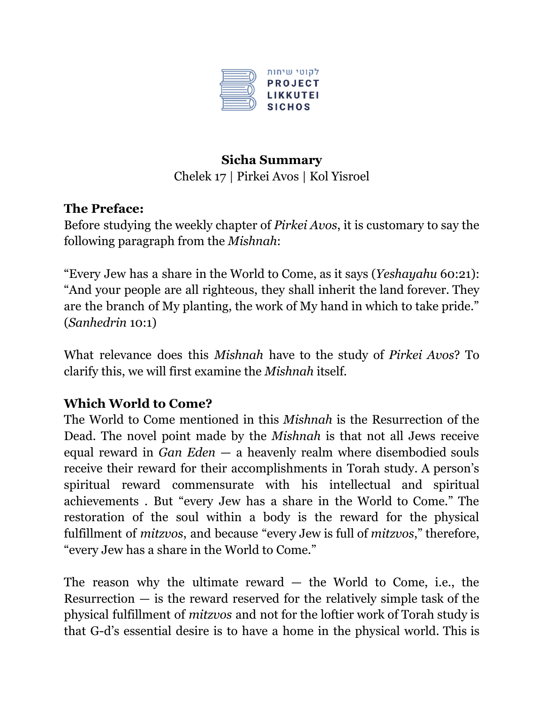

## **Sicha Summary** Chelek 17 | Pirkei Avos | Kol Yisroel

## **The Preface:**

Before studying the weekly chapter of *Pirkei Avos*, it is customary to say the following paragraph from the *Mishnah*:

"Every Jew has a share in the World to Come, as it says (*Yeshayahu* 60:21): "And your people are all righteous, they shall inherit the land forever. They are the branch of My planting, the work of My hand in which to take pride." (*Sanhedrin* 10:1)

What relevance does this *Mishnah* have to the study of *Pirkei Avos*? To clarify this, we will first examine the *Mishnah* itself.

## **Which World to Come?**

The World to Come mentioned in this *Mishnah* is the Resurrection of the Dead. The novel point made by the *Mishnah* is that not all Jews receive equal reward in *Gan Eden* — a heavenly realm where disembodied souls receive their reward for their accomplishments in Torah study. A person's spiritual reward commensurate with his intellectual and spiritual achievements . But "every Jew has a share in the World to Come." The restoration of the soul within a body is the reward for the physical fulfillment of *mitzvos*, and because "every Jew is full of *mitzvos*," therefore, "every Jew has a share in the World to Come."

The reason why the ultimate reward  $-$  the World to Come, i.e., the Resurrection  $-$  is the reward reserved for the relatively simple task of the physical fulfillment of *mitzvos* and not for the loftier work of Torah study is that G-d's essential desire is to have a home in the physical world. This is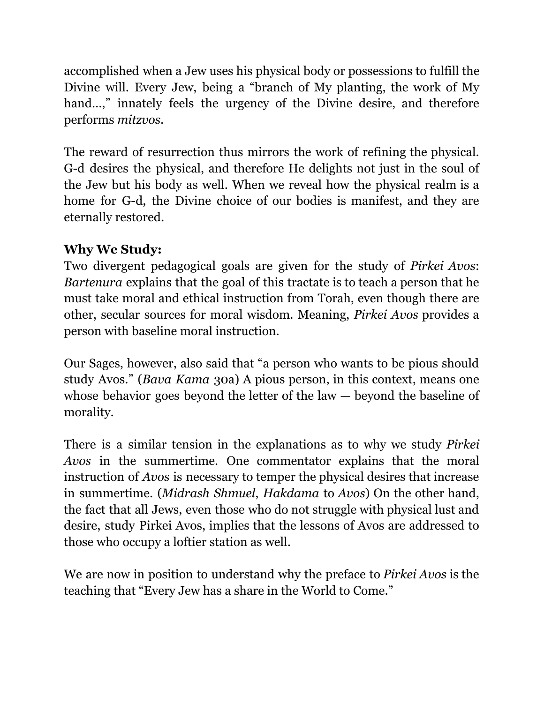accomplished when a Jew uses his physical body or possessions to fulfill the Divine will. Every Jew, being a "branch of My planting, the work of My hand...," innately feels the urgency of the Divine desire, and therefore performs *mitzvos*.

The reward of resurrection thus mirrors the work of refining the physical. G-d desires the physical, and therefore He delights not just in the soul of the Jew but his body as well. When we reveal how the physical realm is a home for G-d, the Divine choice of our bodies is manifest, and they are eternally restored.

## **Why We Study:**

Two divergent pedagogical goals are given for the study of *Pirkei Avos*: *Bartenura* explains that the goal of this tractate is to teach a person that he must take moral and ethical instruction from Torah, even though there are other, secular sources for moral wisdom. Meaning, *Pirkei Avos* provides a person with baseline moral instruction.

Our Sages, however, also said that "a person who wants to be pious should study Avos." (*Bava Kama* 30a) A pious person, in this context, means one whose behavior goes beyond the letter of the law — beyond the baseline of morality.

There is a similar tension in the explanations as to why we study *Pirkei Avos* in the summertime. One commentator explains that the moral instruction of *Avos* is necessary to temper the physical desires that increase in summertime. (*Midrash Shmuel*, *Hakdama* to *Avos*) On the other hand, the fact that all Jews, even those who do not struggle with physical lust and desire, study Pirkei Avos, implies that the lessons of Avos are addressed to those who occupy a loftier station as well.

We are now in position to understand why the preface to *Pirkei Avos* is the teaching that "Every Jew has a share in the World to Come."